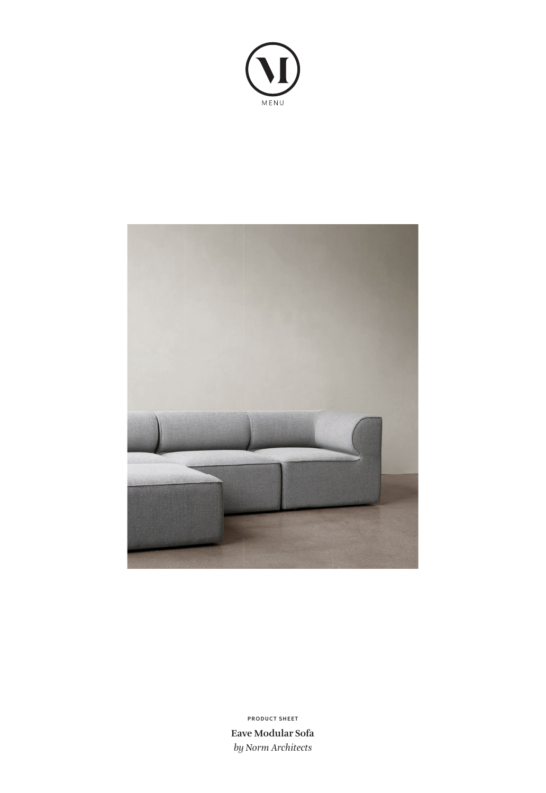



**Eave Modular Sofa** *by Norm Architects* **PRODUCT SHEET**